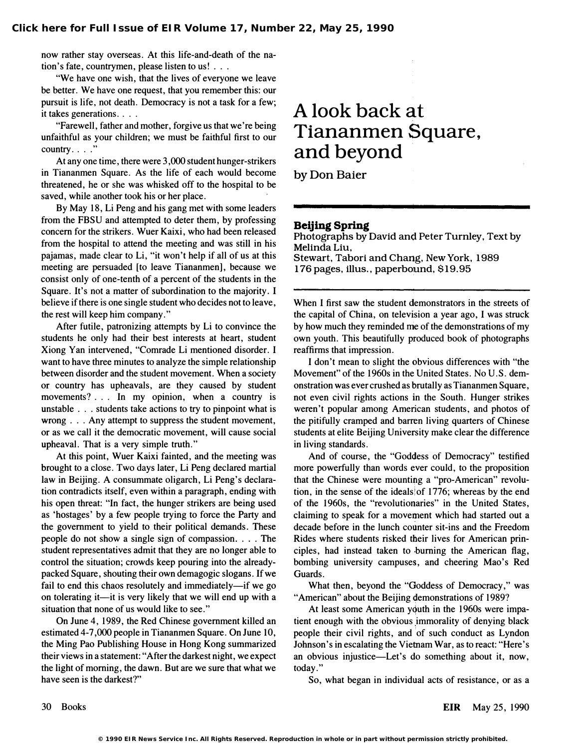now rather stay overseas. At this life-and-death of the nation's fate, countrymen, please listen to us! ...

"We have one wish, that the lives of everyone we leave be better. We have one request, that you remember this: our pursuit is life, not death. Democracy is not a task for a few; it takes generations. . . .

"Farewell, father and mother, forgive us that we're being unfaithful as your children; we must be faithful first to our  $country. \ldots$ 

At any one time, there were 3,000 student hunger-strikers in Tiananmen Square. As the life of each would become threatened, he or she was whisked off to the hospital to be saved, while another took his or her place.

By May 18, Li Peng and his gang met with some leaders from the FBSU and attempted to deter them, by professing concern for the strikers. Wuer Kaixi, who had been released from the hospital to attend the meeting and was still in his pajamas, made clear to Li, "it won't help if all of us at this meeting are persuaded [to leave Tiananmen], because we consist only of one-tenth of a percent of the students in the Square. It's not a matter of subordination to the majority. I believe if there is one single student who decides not to leave, the rest will keep him company. "

After futile, patronizing attempts by Li to convince the students he only had their best interests at heart, student Xiong Van intervened, "Comrade Li mentioned disorder. I want to have three minutes to analyze the simple relationship between disorder and the student movement. When a society or country has upheavals, are they caused by student movements? ... In my opinion, when a country is unstable . . . students take actions to try to pinpoint what is wrong . . . Any attempt to suppress the student movement, or as we call it the democratic movement, will cause social upheaval. That is a very simple truth."

At this point, Wuer Kaixi fainted, and the meeting was brought to a close. Two days later, Li Peng declared martial law in Beijing. A consummate oligarch, Li Peng's declaration contradicts itself, even within a paragraph, ending with his open threat: "In fact, the hunger strikers are being used as 'hostages' by a few people trying to force the Party and the government to yield to their political demands. These people do not show a single sign of compassion.  $\ldots$  The student representatives admit that they are no longer able to control the situation; crowds keep pouring into the alreadypacked Square, shouting their own demagogic slogans. If we fail to end this chaos resolutely and immediately-if we go on tolerating it—it is very likely that we will end up with a situation that none of us would like to see."

On June 4, 1989, the Red Chinese government killed an estimated 4-7,000 people in Tiananmen Square. On June 10, the Ming Pao Publishing House in Hong Kong summarized their views in a statement: "After the darkest night, we expect the light of morning, the dawn. But are we sure that what we have seen is the darkest?"

## A look back at Tiananmen Square, and beyond '

by Don Baier

## Beijing Spring

Photographs by David and Peter Turnley, Text by Melinda Liu, Stewart, Tabori and Chang, New York, 1989 176 pages, illus., paperbound, \$19.95

When I first saw the student demonstrators in the streets of the capital of China, on television a year ago, I was struck by how much they reminded me of the demonstrations of my own youth. This beautifully produced book of photographs reaffirms that impression.

I don't mean to slight the obvious differences with "the Movement" of the 1960s in the United States. No U.S. demonstration was ever crushed as brutally as Tiananmen Square, not even civil rights actions in the South. Hunger strikes weren't popular among American students, and photos of the pitifully cramped and barren living quarters of Chinese students at elite Beijing University make clear the difference in living standards.

And of course, the "Goddess of Democracy" testified more powerfully than words ever could, to the proposition that the Chinese were mounting a "pro-American" revolution, in the sense of the ideals of 1776; whereas by the end of the 1960s, the "revolutionaries" in the United States, claiming to speak for a movement which had started out a decade before in the lunch co�nter sit-ins and the Freedom Rides where students risked their lives for American principles, had instead taken to burning the American flag, bombing university campuses, and cheering Mao's Red Guards.

What then, beyond the "Goddess of Democracy," was "American" about the Beijing demonstrations of 1989?

At least some American youth in the 1960s were impatient enough with the obvious immorality of denying black people their civil rights, and of such conduct as Lyndon Johnson's in escalating the Vietnam War, as to react: "Here's an obvious injustice-Let's do something about it, now, today."

So, what began in individual acts of resistance, or as a